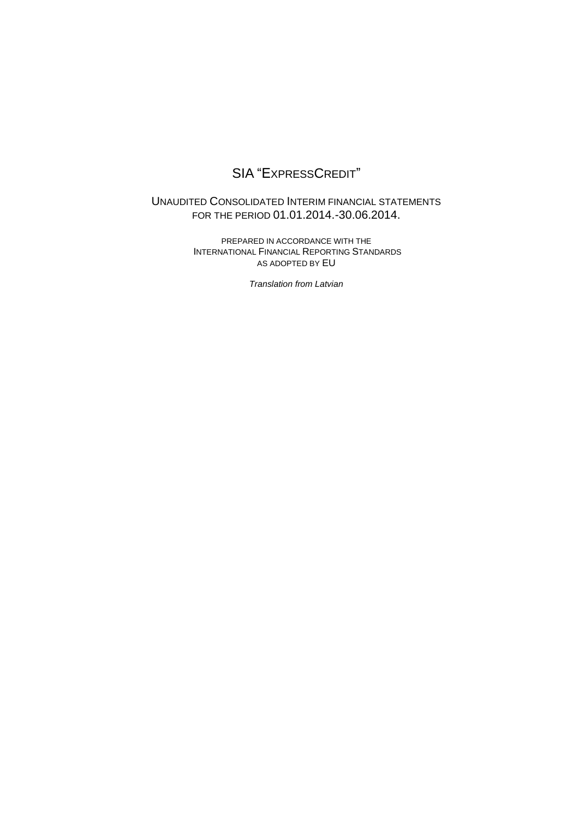# SIA "EXPRESSCREDIT"

## UNAUDITED CONSOLIDATED INTERIM FINANCIAL STATEMENTS FOR THE PERIOD 01.01.2014.-30.06.2014.

PREPARED IN ACCORDANCE WITH THE INTERNATIONAL FINANCIAL REPORTING STANDARDS AS ADOPTED BY EU

*Translation from Latvian*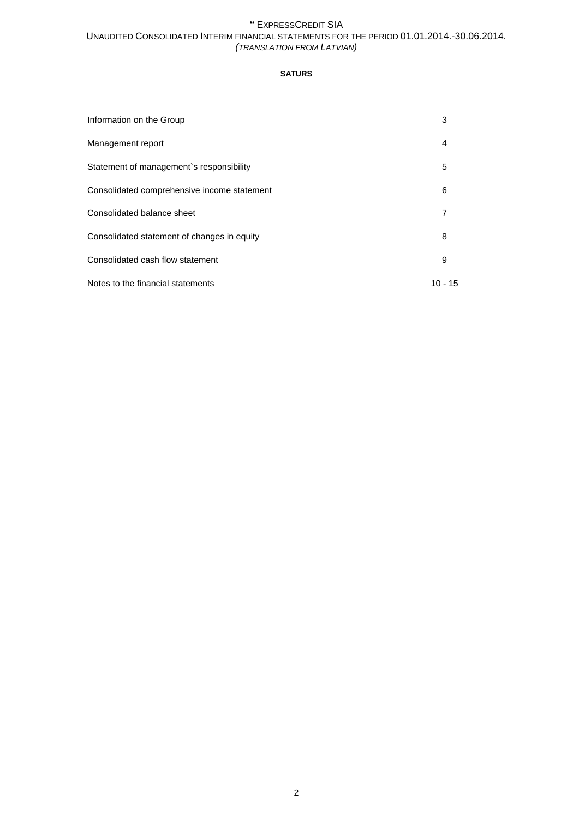## **SATURS**

| Information on the Group                    | 3       |
|---------------------------------------------|---------|
| Management report                           | 4       |
| Statement of management's responsibility    | 5       |
| Consolidated comprehensive income statement | 6       |
| Consolidated balance sheet                  | 7       |
| Consolidated statement of changes in equity | 8       |
| Consolidated cash flow statement            | 9       |
| Notes to the financial statements           | 10 - 15 |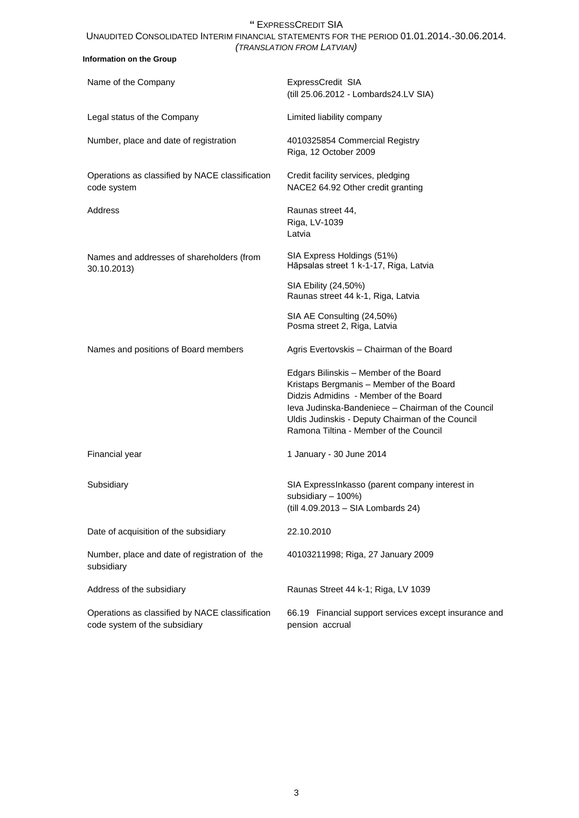| Information on the Group                                                         |                                                                                                                                                                                                                                                                                 |
|----------------------------------------------------------------------------------|---------------------------------------------------------------------------------------------------------------------------------------------------------------------------------------------------------------------------------------------------------------------------------|
| Name of the Company                                                              | ExpressCredit SIA<br>(till 25.06.2012 - Lombards24.LV SIA)                                                                                                                                                                                                                      |
| Legal status of the Company                                                      | Limited liability company                                                                                                                                                                                                                                                       |
| Number, place and date of registration                                           | 4010325854 Commercial Registry<br>Riga, 12 October 2009                                                                                                                                                                                                                         |
| Operations as classified by NACE classification<br>code system                   | Credit facility services, pledging<br>NACE2 64.92 Other credit granting                                                                                                                                                                                                         |
| Address                                                                          | Raunas street 44,<br>Riga, LV-1039<br>Latvia                                                                                                                                                                                                                                    |
| Names and addresses of shareholders (from<br>30.10.2013)                         | SIA Express Holdings (51%)<br>Hāpsalas street 1 k-1-17, Riga, Latvia                                                                                                                                                                                                            |
|                                                                                  | SIA Ebility (24,50%)<br>Raunas street 44 k-1, Riga, Latvia                                                                                                                                                                                                                      |
|                                                                                  | SIA AE Consulting (24,50%)<br>Posma street 2, Riga, Latvia                                                                                                                                                                                                                      |
| Names and positions of Board members                                             | Agris Evertovskis - Chairman of the Board                                                                                                                                                                                                                                       |
|                                                                                  | Edgars Bilinskis - Member of the Board<br>Kristaps Bergmanis - Member of the Board<br>Didzis Admidins - Member of the Board<br>Jeva Judinska-Bandeniece - Chairman of the Council<br>Uldis Judinskis - Deputy Chairman of the Council<br>Ramona Tiltina - Member of the Council |
| Financial year                                                                   | 1 January - 30 June 2014                                                                                                                                                                                                                                                        |
| Subsidiary                                                                       | SIA ExpressInkasso (parent company interest in<br>subsidiary - 100%)<br>(till 4.09.2013 - SIA Lombards 24)                                                                                                                                                                      |
| Date of acquisition of the subsidiary                                            | 22.10.2010                                                                                                                                                                                                                                                                      |
| Number, place and date of registration of the<br>subsidiary                      | 40103211998; Riga, 27 January 2009                                                                                                                                                                                                                                              |
| Address of the subsidiary                                                        | Raunas Street 44 k-1; Riga, LV 1039                                                                                                                                                                                                                                             |
| Operations as classified by NACE classification<br>code system of the subsidiary | 66.19 Financial support services except insurance and<br>pension accrual                                                                                                                                                                                                        |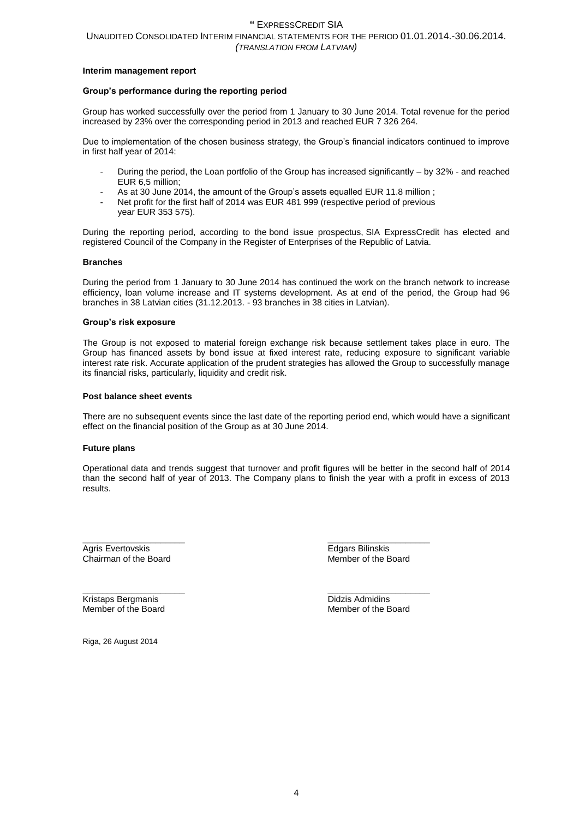#### **Interim management report**

### **Group's performance during the reporting period**

Group has worked successfully over the period from 1 January to 30 June 2014. Total revenue for the period increased by 23% over the corresponding period in 2013 and reached EUR 7 326 264.

Due to implementation of the chosen business strategy, the Group's financial indicators continued to improve in first half year of 2014:

- During the period, the Loan portfolio of the Group has increased significantly by 32% and reached EUR 6,5 million;
- As at 30 June 2014, the amount of the Group's assets equalled EUR 11.8 million ;
- Net profit for the first half of 2014 was EUR 481 999 (respective period of previous year EUR 353 575).

During the reporting period, according to the bond issue prospectus, SIA ExpressCredit has elected and registered Council of the Company in the Register of Enterprises of the Republic of Latvia.

#### **Branches**

During the period from 1 January to 30 June 2014 has continued the work on the branch network to increase efficiency, loan volume increase and IT systems development. As at end of the period, the Group had 96 branches in 38 Latvian cities (31.12.2013. - 93 branches in 38 cities in Latvian).

#### **Group's risk exposure**

The Group is not exposed to material foreign exchange risk because settlement takes place in euro. The Group has financed assets by bond issue at fixed interest rate, reducing exposure to significant variable interest rate risk. Accurate application of the prudent strategies has allowed the Group to successfully manage its financial risks, particularly, liquidity and credit risk.

#### **Post balance sheet events**

There are no subsequent events since the last date of the reporting period end, which would have a significant effect on the financial position of the Group as at 30 June 2014.

#### **Future plans**

Operational data and trends suggest that turnover and profit figures will be better in the second half of 2014 than the second half of year of 2013. The Company plans to finish the year with a profit in excess of 2013 results.

Chairman of the Board

\_\_\_\_\_\_\_\_\_\_\_\_\_\_\_\_\_\_\_\_\_ \_\_\_\_\_\_\_\_\_\_\_\_\_\_\_\_\_\_\_\_\_ Agris Evertovskis and the second service of the Board Chairman of the Board Chairman of the Board School and T<br>Chairman of the Board Chairman of the Board School and The School and The School and The School and The School

Kristaps Bergmanis Didzis Admidins Member of the Board

\_\_\_\_\_\_\_\_\_\_\_\_\_\_\_\_\_\_\_\_\_ \_\_\_\_\_\_\_\_\_\_\_\_\_\_\_\_\_\_\_\_\_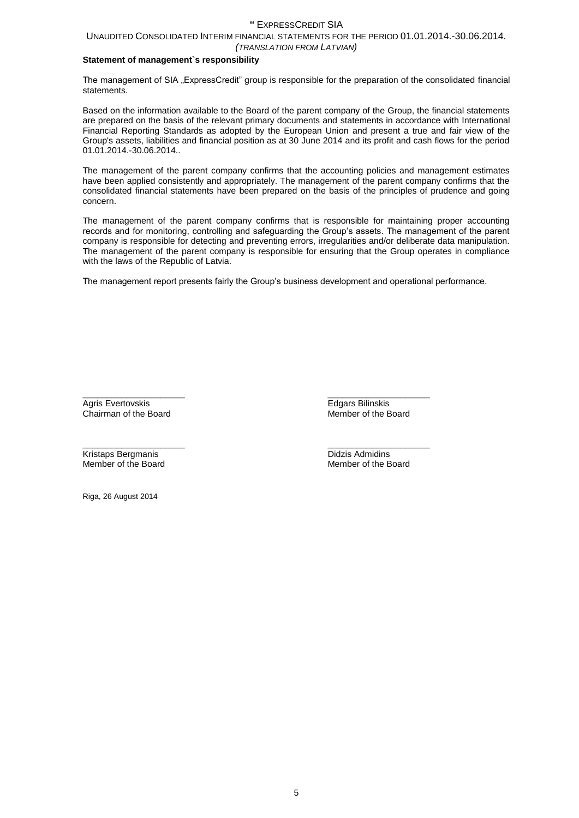## UNAUDITED CONSOLIDATED INTERIM FINANCIAL STATEMENTS FOR THE PERIOD 01.01.2014.-30.06.2014.

## *(TRANSLATION FROM LATVIAN)*

## **Statement of management`s responsibility**

The management of SIA "ExpressCredit" group is responsible for the preparation of the consolidated financial statements.

Based on the information available to the Board of the parent company of the Group, the financial statements are prepared on the basis of the relevant primary documents and statements in accordance with International Financial Reporting Standards as adopted by the European Union and present a true and fair view of the Group's assets, liabilities and financial position as at 30 June 2014 and its profit and cash flows for the period 01.01.2014.-30.06.2014..

The management of the parent company confirms that the accounting policies and management estimates have been applied consistently and appropriately. The management of the parent company confirms that the consolidated financial statements have been prepared on the basis of the principles of prudence and going concern.

The management of the parent company confirms that is responsible for maintaining proper accounting records and for monitoring, controlling and safeguarding the Group's assets. The management of the parent company is responsible for detecting and preventing errors, irregularities and/or deliberate data manipulation. The management of the parent company is responsible for ensuring that the Group operates in compliance with the laws of the Republic of Latvia.

The management report presents fairly the Group's business development and operational performance.

Agris Evertovskis **Edgars Bilinskis**<br>Chairman of the Board **Exercise Servert Chairman of the Board** Chairman of the Board

\_\_\_\_\_\_\_\_\_\_\_\_\_\_\_\_\_\_\_\_\_ \_\_\_\_\_\_\_\_\_\_\_\_\_\_\_\_\_\_\_\_\_

**Kristaps Bergmanis The Contract of the Board Contract Admidins Didzis Admidins Contract Admidins**<br> **Didzis Admidins**<br> **Member of the Board** Member of the Board

\_\_\_\_\_\_\_\_\_\_\_\_\_\_\_\_\_\_\_\_\_ \_\_\_\_\_\_\_\_\_\_\_\_\_\_\_\_\_\_\_\_\_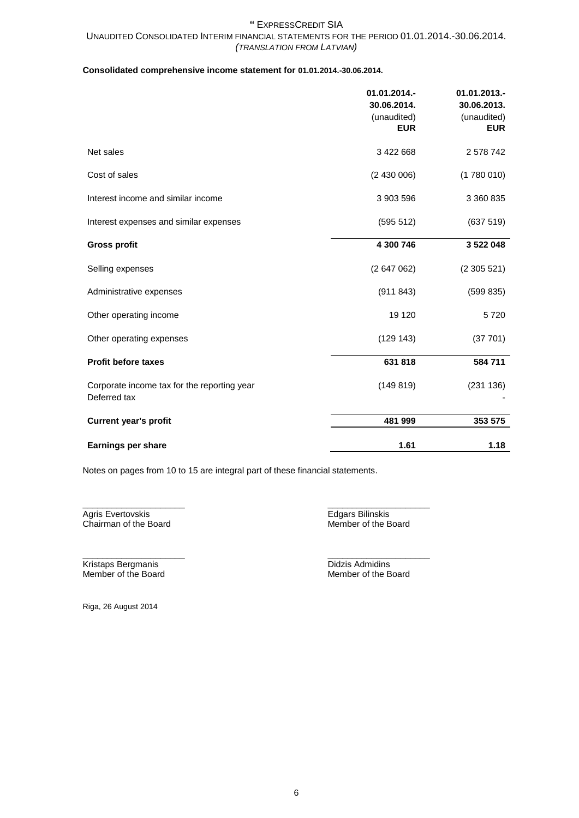## **Consolidated comprehensive income statement for 01.01.2014.-30.06.2014.**

|                                                             | 01.01.2014.-<br>30.06.2014.<br>(unaudited)<br><b>EUR</b> | 01.01.2013.-<br>30.06.2013.<br>(unaudited)<br><b>EUR</b> |
|-------------------------------------------------------------|----------------------------------------------------------|----------------------------------------------------------|
| Net sales                                                   | 3 422 668                                                | 2 578 742                                                |
| Cost of sales                                               | (2430006)                                                | (1780010)                                                |
| Interest income and similar income                          | 3 903 596                                                | 3 360 835                                                |
| Interest expenses and similar expenses                      | (595 512)                                                | (637519)                                                 |
| <b>Gross profit</b>                                         | 4 300 746                                                | 3 522 048                                                |
| Selling expenses                                            | (2647062)                                                | (2305521)                                                |
| Administrative expenses                                     | (911843)                                                 | (599 835)                                                |
| Other operating income                                      | 19 120                                                   | 5720                                                     |
| Other operating expenses                                    | (129143)                                                 | (37701)                                                  |
| <b>Profit before taxes</b>                                  | 631818                                                   | 584 711                                                  |
| Corporate income tax for the reporting year<br>Deferred tax | (149819)                                                 | (231 136)                                                |
| <b>Current year's profit</b>                                | 481 999                                                  | 353 575                                                  |
| Earnings per share                                          | 1.61                                                     | 1.18                                                     |

Notes on pages from 10 to 15 are integral part of these financial statements.

Agris Evertovskis **Edgars Bilinskis**<br>
Chairman of the Board **Edgars** Edgars Bilinskis<br>
Member of the Board Chairman of the Board

\_\_\_\_\_\_\_\_\_\_\_\_\_\_\_\_\_\_\_\_\_ \_\_\_\_\_\_\_\_\_\_\_\_\_\_\_\_\_\_\_\_\_

Kristaps Bergmanis **Didzis Admidins**<br>
Member of the Board **Contract Contract Contract Contract Contract Contract Contract Contract Contract Contract Contract Contract Contract Contract Contract Contract Contract Contract C** 

\_\_\_\_\_\_\_\_\_\_\_\_\_\_\_\_\_\_\_\_\_ \_\_\_\_\_\_\_\_\_\_\_\_\_\_\_\_\_\_\_\_\_ Member of the Board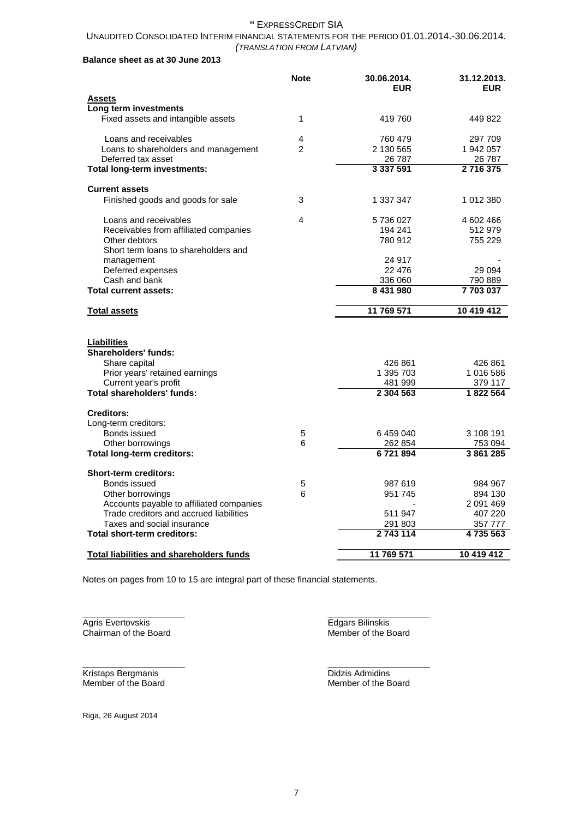## UNAUDITED CONSOLIDATED INTERIM FINANCIAL STATEMENTS FOR THE PERIOD 01.01.2014.-30.06.2014. *(TRANSLATION FROM LATVIAN)*

## **Balance sheet as at 30 June 2013**

| Assets<br>Long term investments<br>Fixed assets and intangible assets |   |               |            |
|-----------------------------------------------------------------------|---|---------------|------------|
|                                                                       |   |               |            |
|                                                                       |   |               |            |
|                                                                       | 1 | 419 760       | 449 822    |
| Loans and receivables                                                 | 4 | 760 479       | 297 709    |
| Loans to shareholders and management                                  | 2 | 2 130 565     | 1 942 057  |
| Deferred tax asset                                                    |   | 26 787        | 26 787     |
| Total long-term investments:                                          |   | 3 3 3 7 5 9 1 | 2716375    |
| <b>Current assets</b>                                                 |   |               |            |
| Finished goods and goods for sale                                     | 3 | 1 337 347     | 1 012 380  |
| Loans and receivables                                                 | 4 | 5 736 027     | 4 602 466  |
| Receivables from affiliated companies                                 |   | 194 241       | 512979     |
| Other debtors                                                         |   | 780 912       | 755 229    |
| Short term loans to shareholders and<br>management                    |   | 24 917        |            |
| Deferred expenses                                                     |   | 22 476        | 29 0 94    |
| Cash and bank                                                         |   | 336 060       | 790 889    |
| <b>Total current assets:</b>                                          |   | 8 431 980     | 7703037    |
| <b>Total assets</b>                                                   |   | 11 769 571    | 10 419 412 |
| <b>Liabilities</b><br><b>Shareholders' funds:</b>                     |   |               |            |
| Share capital                                                         |   | 426 861       | 426 861    |
| Prior years' retained earnings                                        |   | 1 395 703     | 1 016 586  |
| Current year's profit                                                 |   | 481 999       | 379 117    |
| Total shareholders' funds:                                            |   | 2 304 563     | 1822 564   |
| <b>Creditors:</b>                                                     |   |               |            |
| Long-term creditors:<br>Bonds issued                                  | 5 | 6459040       | 3 108 191  |
| Other borrowings                                                      | 6 | 262 854       | 753 094    |
| <b>Total long-term creditors:</b>                                     |   | 6721894       | 3861285    |
| <b>Short-term creditors:</b>                                          |   |               |            |
| Bonds issued                                                          | 5 | 987 619       | 984 967    |
| Other borrowings                                                      | 6 | 951 745       | 894 130    |
| Accounts payable to affiliated companies                              |   |               | 2 091 469  |
| Trade creditors and accrued liabilities                               |   | 511 947       | 407 220    |
| Taxes and social insurance                                            |   | 291 803       | 357 777    |
| Total short-term creditors:                                           |   | 2743114       | 4735563    |
| <b>Total liabilities and shareholders funds</b>                       |   | 11 769 571    | 10 419 412 |

Notes on pages from 10 to 15 are integral part of these financial statements.

\_\_\_\_\_\_\_\_\_\_\_\_\_\_\_\_\_\_\_\_\_ \_\_\_\_\_\_\_\_\_\_\_\_\_\_\_\_\_\_\_\_\_

\_\_\_\_\_\_\_\_\_\_\_\_\_\_\_\_\_\_\_\_\_ \_\_\_\_\_\_\_\_\_\_\_\_\_\_\_\_\_\_\_\_\_

Chairman of the Board

Agris Evertovskis Edgars Bilinskis Edgars Bilinskis Edgars Bilinskis Edgars Bilinskis Edgars Bilinskis Chairman of the Board

**Kristaps Bergmanis**<br>
Member of the Board<br>
Member of the Board<br>
Member of the Board Member of the Board Member of the Board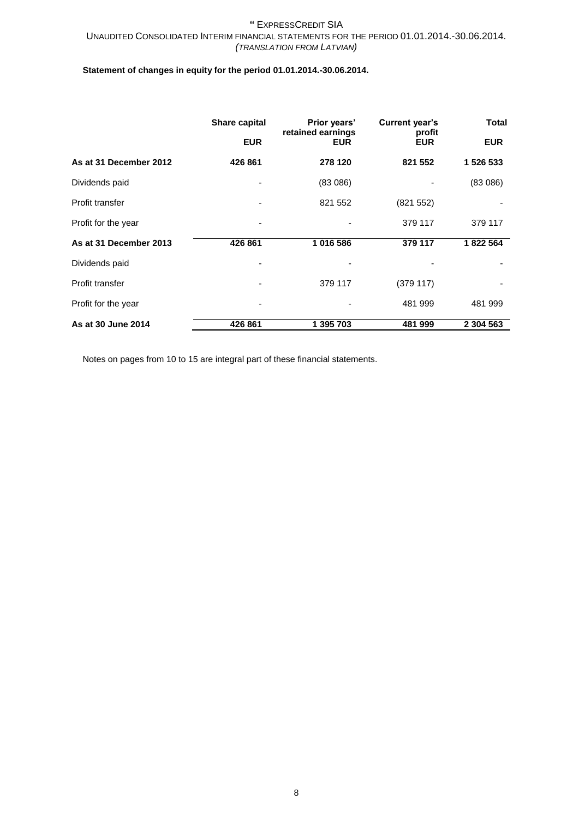## **Statement of changes in equity for the period 01.01.2014.-30.06.2014.**

|                        | Share capital<br>Prior years' |                                 | Current year's       | <b>Total</b> |  |
|------------------------|-------------------------------|---------------------------------|----------------------|--------------|--|
|                        | <b>EUR</b>                    | retained earnings<br><b>EUR</b> | profit<br><b>EUR</b> | <b>EUR</b>   |  |
| As at 31 December 2012 | 426 861                       | 278 120                         | 821 552              | 1 526 533    |  |
| Dividends paid         |                               | (83086)                         |                      | (83086)      |  |
| Profit transfer        |                               | 821 552                         | (821552)             |              |  |
| Profit for the year    |                               |                                 | 379 117              | 379 117      |  |
| As at 31 December 2013 | 426 861                       | 1016586                         | 379 117              | 1822 564     |  |
| Dividends paid         |                               |                                 |                      |              |  |
| Profit transfer        | ۰                             | 379 117                         | (379117)             |              |  |
| Profit for the year    | ٠                             |                                 | 481 999              | 481 999      |  |
| As at 30 June 2014     | 426 861                       | 1 395 703                       | 481 999              | 2 304 563    |  |

Notes on pages from 10 to 15 are integral part of these financial statements.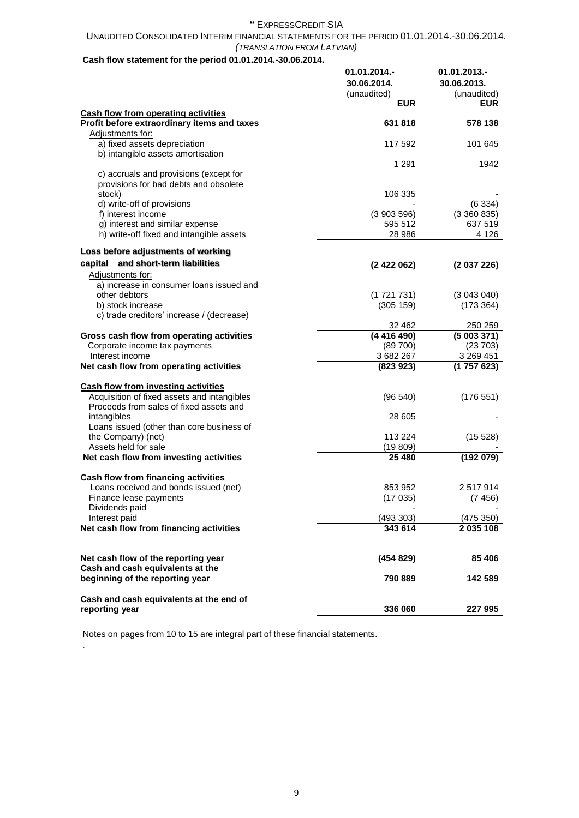## UNAUDITED CONSOLIDATED INTERIM FINANCIAL STATEMENTS FOR THE PERIOD 01.01.2014.-30.06.2014. *(TRANSLATION FROM LATVIAN)*

## **Cash flow statement for the period 01.01.2014.-30.06.2014.**

|                                                                                           | 01.01.2014.-<br>30.06.2014.<br>(unaudited)<br><b>EUR</b> | 01.01.2013.-<br>30.06.2013.<br>(unaudited)<br><b>EUR</b> |
|-------------------------------------------------------------------------------------------|----------------------------------------------------------|----------------------------------------------------------|
| <b>Cash flow from operating activities</b><br>Profit before extraordinary items and taxes | 631818                                                   | 578 138                                                  |
| Adjustments for:                                                                          |                                                          |                                                          |
| a) fixed assets depreciation                                                              | 117 592                                                  | 101 645                                                  |
| b) intangible assets amortisation                                                         |                                                          |                                                          |
|                                                                                           | 1 2 9 1                                                  | 1942                                                     |
| c) accruals and provisions (except for                                                    |                                                          |                                                          |
| provisions for bad debts and obsolete<br>stock)                                           | 106 335                                                  |                                                          |
| d) write-off of provisions                                                                |                                                          | (6334)                                                   |
| f) interest income                                                                        | (3903596)                                                | (3360835)                                                |
| g) interest and similar expense                                                           | 595 512                                                  | 637 519                                                  |
| h) write-off fixed and intangible assets                                                  | 28 986                                                   | 4 1 2 6                                                  |
| Loss before adjustments of working                                                        |                                                          |                                                          |
| capital and short-term liabilities                                                        | (2422062)                                                | (2037226)                                                |
| Adjustments for:                                                                          |                                                          |                                                          |
| a) increase in consumer loans issued and<br>other debtors                                 | (1721731)                                                | (3043040)                                                |
| b) stock increase                                                                         | (305 159)                                                | (173 364)                                                |
| c) trade creditors' increase / (decrease)                                                 |                                                          |                                                          |
|                                                                                           | 32 462                                                   | 250 259                                                  |
| Gross cash flow from operating activities                                                 | (4416490)                                                | (5003371)                                                |
| Corporate income tax payments<br>Interest income                                          | (89700)<br>3682267                                       | (23703)<br>3 269 451                                     |
| Net cash flow from operating activities                                                   | (823923)                                                 | (1757623)                                                |
|                                                                                           |                                                          |                                                          |
| <b>Cash flow from investing activities</b>                                                |                                                          |                                                          |
| Acquisition of fixed assets and intangibles<br>Proceeds from sales of fixed assets and    | (96 540)                                                 | (176551)                                                 |
| intangibles                                                                               | 28 605                                                   |                                                          |
| Loans issued (other than core business of                                                 |                                                          |                                                          |
| the Company) (net)                                                                        | 113 224                                                  | (15528)                                                  |
| Assets held for sale                                                                      | (19809)                                                  |                                                          |
| Net cash flow from investing activities                                                   | 25 4 80                                                  | (192 079)                                                |
| <b>Cash flow from financing activities</b>                                                |                                                          |                                                          |
| Loans received and bonds issued (net)                                                     | 853 952                                                  | 2 517 914                                                |
| Finance lease payments                                                                    | (17035)                                                  | (7456)                                                   |
| Dividends paid                                                                            |                                                          |                                                          |
| Interest paid<br>Net cash flow from financing activities                                  | (493 303)<br>343 614                                     | (475 350)<br>2 035 108                                   |
|                                                                                           |                                                          |                                                          |
|                                                                                           | (454829)                                                 | 85 406                                                   |
| Net cash flow of the reporting year<br>Cash and cash equivalents at the                   |                                                          |                                                          |
| beginning of the reporting year                                                           | 790 889                                                  | 142 589                                                  |
|                                                                                           |                                                          |                                                          |
| Cash and cash equivalents at the end of                                                   |                                                          |                                                          |
| reporting year                                                                            | 336 060                                                  | 227 995                                                  |

Notes on pages from 10 to 15 are integral part of these financial statements.

.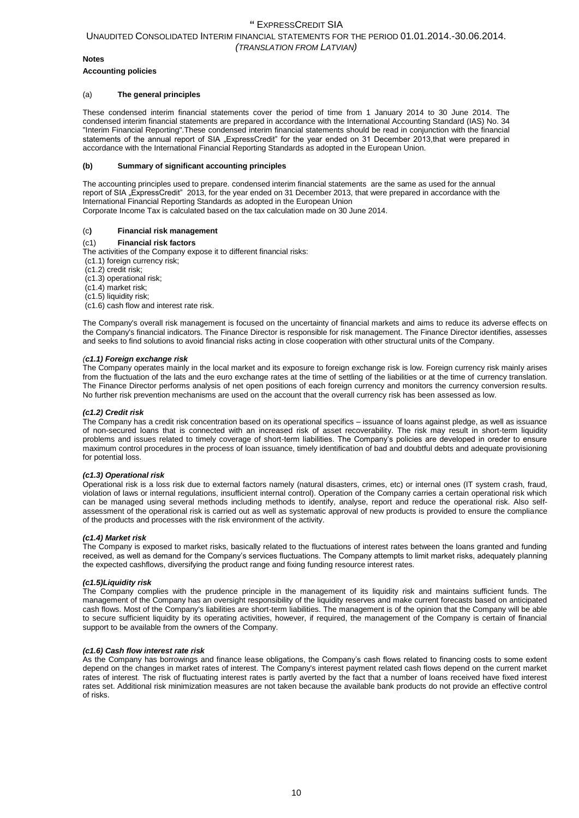#### **Notes**

#### **Accounting policies**

#### (a) **The general principles**

These condensed interim financial statements cover the period of time from 1 January 2014 to 30 June 2014. The condensed interim financial statements are prepared in accordance with the International Accounting Standard (IAS) No. 34 "Interim Financial Reporting".These condensed interim financial statements should be read in conjunction with the financial statements of the annual report of SIA "ExpressCredit" for the year ended on 31 December 2013, that were prepared in accordance with the International Financial Reporting Standards as adopted in the European Union.

#### **(b) Summary of significant accounting principles**

The accounting principles used to prepare. condensed interim financial statements are the same as used for the annual report of SIA "ExpressCredit" 2013, for the year ended on 31 December 2013, that were prepared in accordance with the International Financial Reporting Standards as adopted in the European Union Corporate Income Tax is calculated based on the tax calculation made on 30 June 2014.

## (c**) Financial risk management**

#### (c1) **Financial risk factors**

The activities of the Company expose it to different financial risks:

- (c1.1) foreign currency risk;
- (c1.2) credit risk;
- (c1.3) operational risk;
- (c1.4) market risk;
- (c1.5) liquidity risk;
- (c1.6) cash flow and interest rate risk.

The Company's overall risk management is focused on the uncertainty of financial markets and aims to reduce its adverse effects on the Company's financial indicators. The Finance Director is responsible for risk management. The Finance Director identifies, assesses and seeks to find solutions to avoid financial risks acting in close cooperation with other structural units of the Company.

#### *(c1.1) Foreign exchange risk*

The Company operates mainly in the local market and its exposure to foreign exchange risk is low. Foreign currency risk mainly arises from the fluctuation of the lats and the euro exchange rates at the time of settling of the liabilities or at the time of currency translation. The Finance Director performs analysis of net open positions of each foreign currency and monitors the currency conversion results. No further risk prevention mechanisms are used on the account that the overall currency risk has been assessed as low.

#### *(c1.2) Credit risk*

The Company has a credit risk concentration based on its operational specifics – issuance of loans against pledge, as well as issuance of non-secured loans that is connected with an increased risk of asset recoverability. The risk may result in short-term liquidity problems and issues related to timely coverage of short-term liabilities. The Company's policies are developed in oreder to ensure maximum control procedures in the process of loan issuance, timely identification of bad and doubtful debts and adequate provisioning for potential loss.

#### *(c1.3) Operational risk*

Operational risk is a loss risk due to external factors namely (natural disasters, crimes, etc) or internal ones (IT system crash, fraud, violation of laws or internal regulations, insufficient internal control). Operation of the Company carries a certain operational risk which can be managed using several methods including methods to identify, analyse, report and reduce the operational risk. Also selfassessment of the operational risk is carried out as well as systematic approval of new products is provided to ensure the compliance of the products and processes with the risk environment of the activity.

#### *(c1.4) Market risk*

The Company is exposed to market risks, basically related to the fluctuations of interest rates between the loans granted and funding received, as well as demand for the Company's services fluctuations. The Company attempts to limit market risks, adequately planning the expected cashflows, diversifying the product range and fixing funding resource interest rates.

#### *(c1.5)Liquidity risk*

The Company complies with the prudence principle in the management of its liquidity risk and maintains sufficient funds. The management of the Company has an oversight responsibility of the liquidity reserves and make current forecasts based on anticipated cash flows. Most of the Company's liabilities are short-term liabilities. The management is of the opinion that the Company will be able to secure sufficient liquidity by its operating activities, however, if required, the management of the Company is certain of financial support to be available from the owners of the Company.

#### *(c1.6) Cash flow interest rate risk*

As the Company has borrowings and finance lease obligations, the Company's cash flows related to financing costs to some extent depend on the changes in market rates of interest. The Company's interest payment related cash flows depend on the current market rates of interest. The risk of fluctuating interest rates is partly averted by the fact that a number of loans received have fixed interest rates set. Additional risk minimization measures are not taken because the available bank products do not provide an effective control of risks.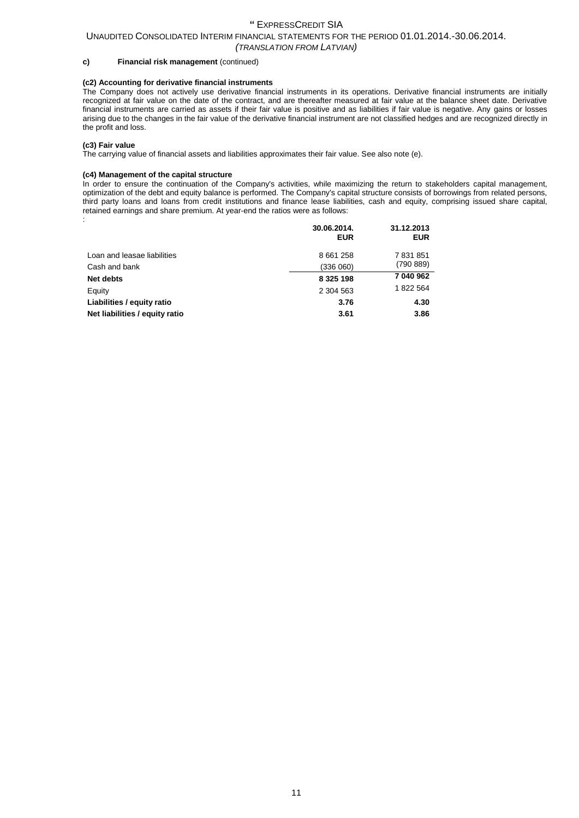## UNAUDITED CONSOLIDATED INTERIM FINANCIAL STATEMENTS FOR THE PERIOD 01.01.2014.-30.06.2014.

*(TRANSLATION FROM LATVIAN)*

#### **c) Financial risk management** (continued)

## **(c2) Accounting for derivative financial instruments**

The Company does not actively use derivative financial instruments in its operations. Derivative financial instruments are initially recognized at fair value on the date of the contract, and are thereafter measured at fair value at the balance sheet date. Derivative financial instruments are carried as assets if their fair value is positive and as liabilities if fair value is negative. Any gains or losses arising due to the changes in the fair value of the derivative financial instrument are not classified hedges and are recognized directly in the profit and loss.

#### **(c3) Fair value**

The carrying value of financial assets and liabilities approximates their fair value. See also note (e).

#### **(c4) Management of the capital structure**

In order to ensure the continuation of the Company's activities, while maximizing the return to stakeholders capital management, optimization of the debt and equity balance is performed. The Company's capital structure consists of borrowings from related persons, third party loans and loans from credit institutions and finance lease liabilities, cash and equity, comprising issued share capital, retained earnings and share premium. At year-end the ratios were as follows: :

|                                | 30.06.2014.<br><b>EUR</b> | 31.12.2013<br><b>EUR</b> |
|--------------------------------|---------------------------|--------------------------|
| Loan and leasae liabilities    | 8 661 258                 | 7831851                  |
| Cash and bank                  | (336060)                  | (790889)                 |
| <b>Net debts</b>               | 8 3 2 5 1 9 8             | 7 040 962                |
| Equity                         | 2 304 563                 | 1822 564                 |
| Liabilities / equity ratio     | 3.76                      | 4.30                     |
| Net liabilities / equity ratio | 3.61                      | 3.86                     |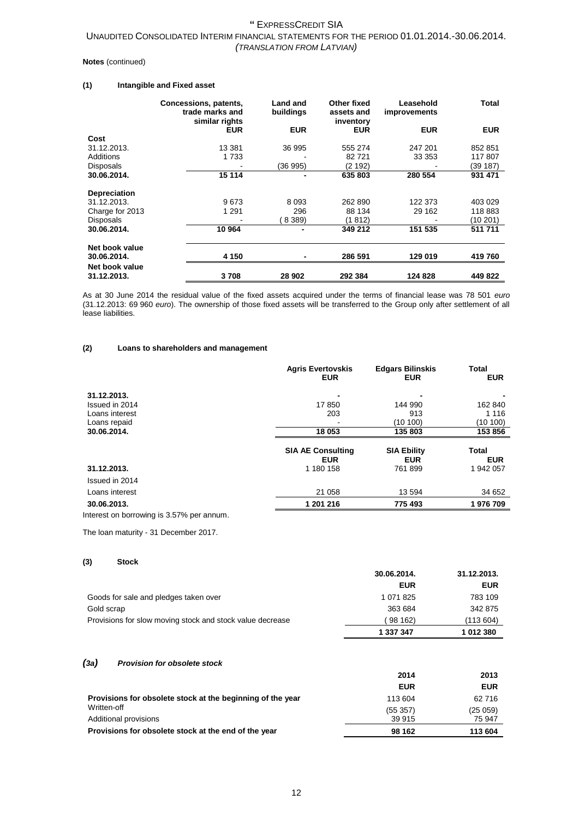#### **Notes** (continued)

## **(1) Intangible and Fixed asset**

|                     | Concessions, patents,<br>trade marks and<br>similar rights | Land and<br>buildings | Other fixed<br>assets and<br>inventory | Leasehold<br><i>improvements</i> | <b>Total</b> |
|---------------------|------------------------------------------------------------|-----------------------|----------------------------------------|----------------------------------|--------------|
|                     | <b>EUR</b>                                                 | <b>EUR</b>            | <b>EUR</b>                             | <b>EUR</b>                       | <b>EUR</b>   |
| Cost                |                                                            |                       |                                        |                                  |              |
| 31.12.2013.         | 13 381                                                     | 36 995                | 555 274                                | 247 201                          | 852 851      |
| Additions           | 1 733                                                      |                       | 82721                                  | 33 353                           | 117807       |
| <b>Disposals</b>    |                                                            | (36 995)              | (2 192)                                |                                  | (39 187)     |
| 30.06.2014.         | 15 114                                                     |                       | 635 803                                | 280 554                          | 931 471      |
| <b>Depreciation</b> |                                                            |                       |                                        |                                  |              |
| 31.12.2013.         | 9673                                                       | 8 0 9 3               | 262 890                                | 122 373                          | 403 029      |
| Charge for 2013     | 1 291                                                      | 296                   | 88 134                                 | 29 162                           | 118 883      |
| Disposals           |                                                            | 8 3 8 9 )             | (1 812)                                |                                  | (10 201)     |
| 30.06.2014.         | 10 964                                                     |                       | 349 212                                | 151 535                          | 511 711      |
| Net book value      |                                                            |                       |                                        |                                  |              |
| 30.06.2014.         | 4 150                                                      |                       | 286 591                                | 129 019                          | 419 760      |
| Net book value      |                                                            |                       |                                        |                                  |              |
| 31.12.2013.         | 3708                                                       | 28 902                | 292 384                                | 124 828                          | 449 822      |

As at 30 June 2014 the residual value of the fixed assets acquired under the terms of financial lease was 78 501 *euro* (31.12.2013: 69 960 *euro*). The ownership of those fixed assets will be transferred to the Group only after settlement of all lease liabilities.

#### **(2) Loans to shareholders and management**

|                               | <b>Agris Evertovskis</b><br><b>EUR</b> | <b>Edgars Bilinskis</b><br><b>EUR</b> | <b>Total</b><br><b>EUR</b> |
|-------------------------------|----------------------------------------|---------------------------------------|----------------------------|
| 31.12.2013.<br>Issued in 2014 | ٠<br>17850                             | 144 990                               | 162 840                    |
| Loans interest                | 203                                    | 913                                   | 1 1 1 6                    |
| Loans repaid                  | -                                      | (10100)                               | (10100)                    |
| 30.06.2014.                   | 18 053                                 | 135 803                               | 153 856                    |
|                               | <b>SIA AE Consulting</b><br><b>EUR</b> | <b>SIA Ebility</b><br><b>EUR</b>      | Total<br><b>EUR</b>        |
| 31.12.2013.                   | 1 180 158                              | 761899                                | 1 942 057                  |
| Issued in 2014                |                                        |                                       |                            |
| Loans interest                | 21 058                                 | 13 594                                | 34 652                     |
| 30.06.2013.                   | 1 201 216                              | 775 493                               | 1976709                    |

Interest on borrowing is 3.57% per annum.

The loan maturity - 31 December 2017.

### **(3) Stock**

|                                                           | 30.00.ZUT4. | 31.IZ.ZUIJ. |
|-----------------------------------------------------------|-------------|-------------|
|                                                           | <b>EUR</b>  | <b>EUR</b>  |
| Goods for sale and pledges taken over                     | 1 071 825   | 783 109     |
| Gold scrap                                                | 363 684     | 342 875     |
| Provisions for slow moving stock and stock value decrease | 98 162)     | (113 604)   |
|                                                           | 1 337 347   | 1 012 380   |

**30.06.2014. 31.12.2013.**

#### *(3a) Provision for obsolete stock*

|                                                            | 2014       | 2013       |
|------------------------------------------------------------|------------|------------|
|                                                            | <b>EUR</b> | <b>EUR</b> |
| Provisions for obsolete stock at the beginning of the year | 113 604    | 62 716     |
| Written-off                                                | (55357)    | (25059)    |
| Additional provisions                                      | 39 915     | 75 947     |
| Provisions for obsolete stock at the end of the year       | 98 162     | 113 604    |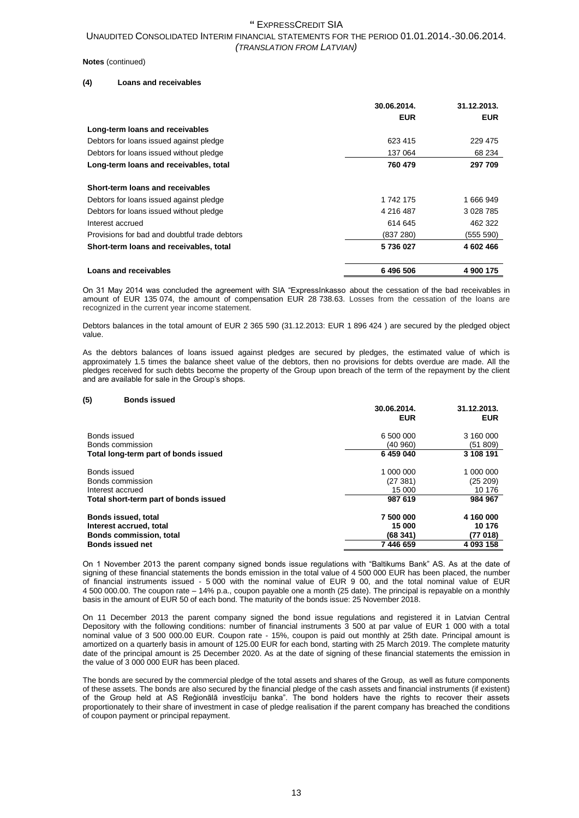#### **Notes** (continued)

### **(4) Loans and receivables**

|                                               | 30.06.2014.<br><b>EUR</b> | 31.12.2013.<br><b>EUR</b> |
|-----------------------------------------------|---------------------------|---------------------------|
| Long-term loans and receivables               |                           |                           |
| Debtors for loans issued against pledge       | 623 415                   | 229 475                   |
| Debtors for loans issued without pledge       | 137 064                   | 68 234                    |
| Long-term loans and receivables, total        | 760 479                   | 297 709                   |
| Short-term loans and receivables              |                           |                           |
| Debtors for loans issued against pledge       | 1 742 175                 | 1 666 949                 |
| Debtors for loans issued without pledge       | 4 216 487                 | 3 0 28 7 85               |
| Interest accrued                              | 614 645                   | 462 322                   |
| Provisions for bad and doubtful trade debtors | (837 280)                 | (555 590)                 |
| Short-term loans and receivables, total       | 5736027                   | 4 602 466                 |
| Loans and receivables                         | 6496506                   | 4 900 175                 |

On 31 May 2014 was concluded the agreement with SIA "ExpressInkasso about the cessation of the bad receivables in amount of EUR 135 074, the amount of compensation EUR 28 738.63. Losses from the cessation of the loans are recognized in the current year income statement.

Debtors balances in the total amount of EUR 2 365 590 (31.12.2013: EUR 1 896 424 ) are secured by the pledged object value.

As the debtors balances of loans issued against pledges are secured by pledges, the estimated value of which is approximately 1.5 times the balance sheet value of the debtors, then no provisions for debts overdue are made. All the pledges received for such debts become the property of the Group upon breach of the term of the repayment by the client and are available for sale in the Group's shops.

#### **(5) Bonds issued**

|                                       | 30.06.2014.<br><b>EUR</b> | 31.12.2013.<br><b>EUR</b> |
|---------------------------------------|---------------------------|---------------------------|
| Bonds issued                          | 6 500 000                 | 3 160 000                 |
| Bonds commission                      | (40 960)                  | (51 809)                  |
| Total long-term part of bonds issued  | 6 459 040                 | 3 108 191                 |
| Bonds issued                          | 1 000 000                 | 1 000 000                 |
| Bonds commission                      | (27381)                   | (25 209)                  |
| Interest accrued                      | 15 000                    | 10 176                    |
| Total short-term part of bonds issued | 987 619                   | 984 967                   |
| Bonds issued, total                   | 7 500 000                 | 4 160 000                 |
| Interest accrued, total               | 15 000                    | 10 176                    |
| <b>Bonds commission, total</b>        | (68341)                   | (77 018)                  |
| <b>Bonds issued net</b>               | 7446659                   | 4 093 158                 |

On 1 November 2013 the parent company signed bonds issue regulations with "Baltikums Bank" AS. As at the date of signing of these financial statements the bonds emission in the total value of 4 500 000 EUR has been placed, the number of financial instruments issued - 5 000 with the nominal value of EUR 9 00, and the total nominal value of EUR 4 500 000.00. The coupon rate – 14% p.a., coupon payable one a month (25 date). The principal is repayable on a monthly basis in the amount of EUR 50 of each bond. The maturity of the bonds issue: 25 November 2018.

On 11 December 2013 the parent company signed the bond issue regulations and registered it in Latvian Central Depository with the following conditions: number of financial instruments 3 500 at par value of EUR 1 000 with a total nominal value of 3 500 000.00 EUR. Coupon rate - 15%, coupon is paid out monthly at 25th date. Principal amount is amortized on a quarterly basis in amount of 125.00 EUR for each bond, starting with 25 March 2019. The complete maturity date of the principal amount is 25 December 2020. As at the date of signing of these financial statements the emission in the value of 3 000 000 EUR has been placed.

The bonds are secured by the commercial pledge of the total assets and shares of the Group, as well as future components of these assets. The bonds are also secured by the financial pledge of the cash assets and financial instruments (if existent) of the Group held at AS Reģionālā investīciju banka". The bond holders have the rights to recover their assets proportionately to their share of investment in case of pledge realisation if the parent company has breached the conditions of coupon payment or principal repayment.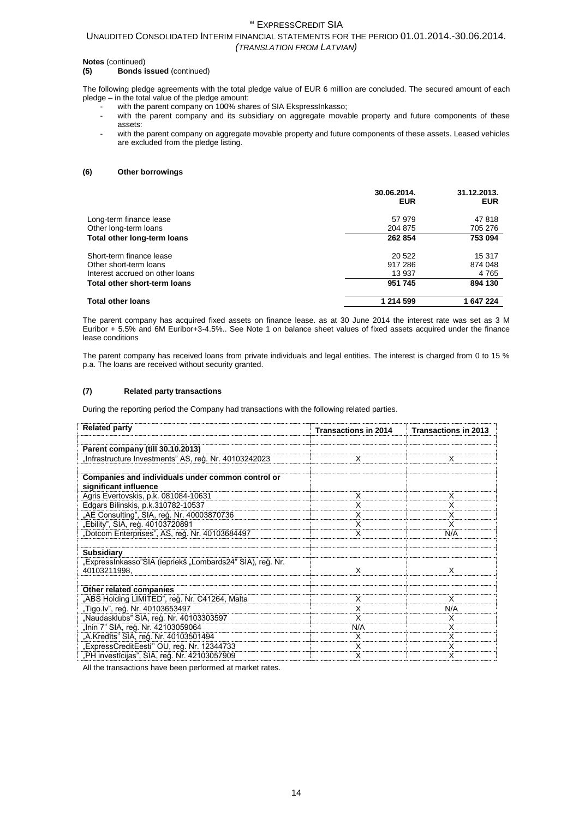## UNAUDITED CONSOLIDATED INTERIM FINANCIAL STATEMENTS FOR THE PERIOD 01.01.2014.-30.06.2014. *(TRANSLATION FROM LATVIAN)*

# **Notes** (continued)<br>(5) **Bonds**

#### **(5) Bonds issued** (continued)

The following pledge agreements with the total pledge value of EUR 6 million are concluded. The secured amount of each pledge – in the total value of the pledge amount:

- with the parent company on 100% shares of SIA EkspressInkasso;
- with the parent company and its subsidiary on aggregate movable property and future components of these assets:
- with the parent company on aggregate movable property and future components of these assets. Leased vehicles are excluded from the pledge listing.

#### **(6) Other borrowings**

|                                 | 30.06.2014.<br><b>EUR</b> | 31.12.2013.<br><b>EUR</b> |
|---------------------------------|---------------------------|---------------------------|
| Long-term finance lease         | 57 979                    | 47818                     |
| Other long-term loans           | 204 875                   | 705 276                   |
| Total other long-term loans     | 262 854                   | 753 094                   |
| Short-term finance lease        | 20 522                    | 15 317                    |
| Other short-term loans          | 917 286                   | 874 048                   |
| Interest accrued on other loans | 13 937                    | 4765                      |
| Total other short-term loans    | 951 745                   | 894 130                   |
| <b>Total other loans</b>        | 1 214 599                 | 1 647 224                 |

The parent company has acquired fixed assets on finance lease. as at 30 June 2014 the interest rate was set as 3 M Euribor + 5.5% and 6M Euribor+3-4.5%.. See Note 1 on balance sheet values of fixed assets acquired under the finance lease conditions

The parent company has received loans from private individuals and legal entities. The interest is charged from 0 to 15 % p.a. The loans are received without security granted.

#### **(7) Related party transactions**

During the reporting period the Company had transactions with the following related parties.

| <b>Related party</b>                                                       | <b>Transactions in 2014</b> | <b>Transactions in 2013</b> |
|----------------------------------------------------------------------------|-----------------------------|-----------------------------|
|                                                                            |                             |                             |
| Parent company (till 30.10.2013)                                           |                             |                             |
| "Infrastructure Investments" AS, reģ. Nr. 40103242023                      | х                           | х                           |
|                                                                            |                             |                             |
| Companies and individuals under common control or<br>significant influence |                             |                             |
| Agris Evertovskis, p.k. 081084-10631                                       | х                           | x                           |
| Edgars Bilinskis, p.k.310782-10537                                         | X                           | х                           |
| "AE Consulting", SIA, reģ. Nr. 40003870736                                 | x                           | х                           |
| "Ebility", SIA, reģ. 40103720891                                           | х                           | х                           |
| "Dotcom Enterprises", AS, reģ. Nr. 40103684497                             | X                           | N/A                         |
|                                                                            |                             |                             |
| <b>Subsidiary</b>                                                          |                             |                             |
| "ExpressInkasso"SIA (iepriekš "Lombards24" SIA), reģ. Nr.<br>40103211998.  | X                           | x                           |
| Other related companies                                                    |                             |                             |
| "ABS Holding LIMITED", reģ. Nr. C41264, Malta                              | х                           | X                           |
| "Tigo.lv", reģ. Nr. 40103653497                                            | X                           | N/A                         |
| "Naudasklubs" SIA, reģ. Nr. 40103303597                                    | X                           | х                           |
| "Inin 7" SIA, reģ. Nr. 42103059064                                         | N/A                         | X                           |
| "A.Kredīts" SIA, reģ. Nr. 40103501494                                      | х                           | x                           |
| "ExpressCreditEesti" OU, reģ. Nr. 12344733                                 | X                           | X                           |
| "PH investīcijas", SIA, reģ. Nr. 42103057909                               | X                           | X                           |

All the transactions have been performed at market rates.